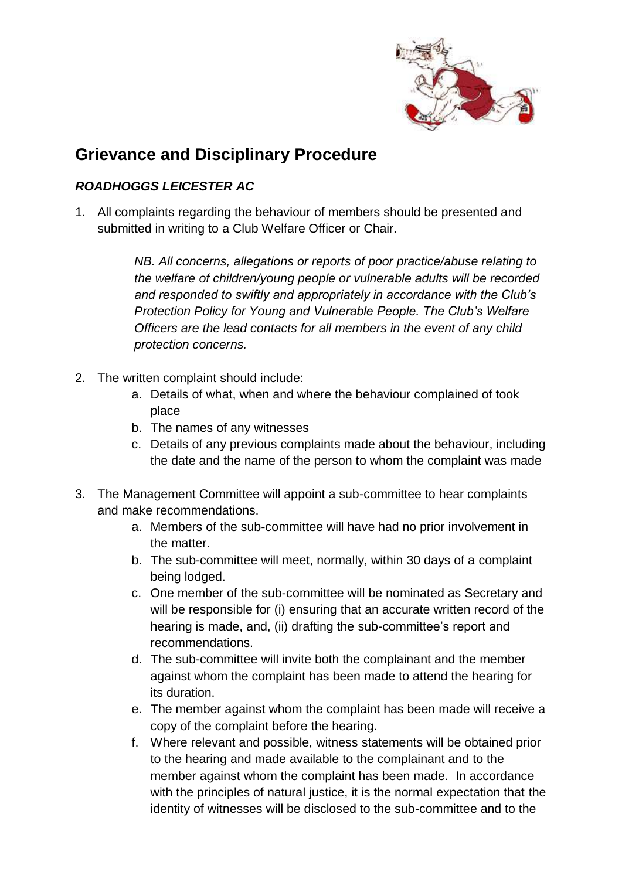

## **Grievance and Disciplinary Procedure**

## *ROADHOGGS LEICESTER AC*

1. All complaints regarding the behaviour of members should be presented and submitted in writing to a Club Welfare Officer or Chair.

> *NB. All concerns, allegations or reports of poor practice/abuse relating to the welfare of children/young people or vulnerable adults will be recorded and responded to swiftly and appropriately in accordance with the Club's Protection Policy for Young and Vulnerable People. The Club's Welfare Officers are the lead contacts for all members in the event of any child protection concerns.*

- 2. The written complaint should include:
	- a. Details of what, when and where the behaviour complained of took place
	- b. The names of any witnesses
	- c. Details of any previous complaints made about the behaviour, including the date and the name of the person to whom the complaint was made
- 3. The Management Committee will appoint a sub-committee to hear complaints and make recommendations.
	- a. Members of the sub-committee will have had no prior involvement in the matter.
	- b. The sub-committee will meet, normally, within 30 days of a complaint being lodged.
	- c. One member of the sub-committee will be nominated as Secretary and will be responsible for (i) ensuring that an accurate written record of the hearing is made, and, (ii) drafting the sub-committee's report and recommendations.
	- d. The sub-committee will invite both the complainant and the member against whom the complaint has been made to attend the hearing for its duration.
	- e. The member against whom the complaint has been made will receive a copy of the complaint before the hearing.
	- f. Where relevant and possible, witness statements will be obtained prior to the hearing and made available to the complainant and to the member against whom the complaint has been made. In accordance with the principles of natural justice, it is the normal expectation that the identity of witnesses will be disclosed to the sub-committee and to the